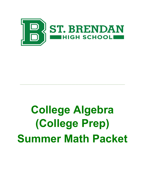

# College Algebra (College Prep) Summer Math Packet

\_\_\_\_\_\_\_\_\_\_\_\_\_\_\_\_\_\_\_\_\_\_\_\_\_\_\_\_\_\_\_\_\_\_\_\_\_\_\_\_\_\_\_\_\_\_\_\_\_\_\_\_\_\_\_\_\_\_\_\_\_\_\_\_\_\_\_\_\_\_\_\_\_\_\_\_\_\_\_\_\_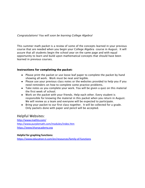### Congratulations! You will soon be learning College Algebra!

This summer math packet is a review of some of the concepts learned in your previous course that are needed when you begin your College Algebra course in August. It will assure that all students begin the school year on the same page and with equal opportunity to learn and build upon mathematical concepts that should have been learned in previous courses.

#### Instructions for completing the packet:

- Please print the packet or use loose leaf paper to complete the packet by hand showing all work. Work must be neat and legible.
- Please use your previous class notes or the websites provided to help you if you need reminders on how to complete some practice problems.
- Take notes as you complete your work. You will be given a quiz on this material the first week of school.
- Work on the packet with your friends. Help each other. Every student is responsible for knowing the material in this packet when you return in August. We will review as a team and everyone will be expected to participate.
- Bring your packet to our first class together. It will be collected for a grade. Only packets done with paper and pencil will be accepted.

### **Helpful Websites:**

http://www.mathty.com/ http://www.purplemath.com/modules/index.htm https://www.khanacademy.org

#### **Helpful for graphing functions:**

https://www.education.ti.com/en/resources/family-of-functions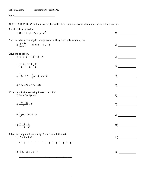College Algebra Summer Math Packet 2022

SHORT ANSWER. Write the word or phrase that best completes each statement or answers the question.

| Simplify the expression.<br>1) 22 - $[10 - (4 - 7)] + (5 - 7)^3$                                                             | 1)  |
|------------------------------------------------------------------------------------------------------------------------------|-----|
| Find the value of the algebraic expression at the given replacement value.<br>2) $\frac{y - 3x}{6x + xy}$ when x = -4, y = 3 | 2)  |
| Solve the equation.<br>$3) -3(k - 5) - (-4k - 2) = 4$                                                                        | 3)  |
| 4) $\frac{x+4}{6} + \frac{x-1}{2} = \frac{5}{6}$                                                                             | 4)  |
| 5) $\frac{1}{4}(x - 12) - \frac{1}{9}(x - 9) = x - 5$                                                                        | 5)  |
| 6) $1.5x + 2.8 = 0.7x - 0.08$                                                                                                | 6)  |
| Write the solution set using interval notation.<br>7) $3(x + 7) \le 4(x - 8)$                                                | 7)  |
| 8) $\frac{-7x - 20}{4} < 37$                                                                                                 | 8)  |
| 9) $\frac{1}{3}(5x - 12) \ge x - 2$                                                                                          | 9)  |
| 10) $\frac{3}{4} + \frac{5}{6} \le \frac{x}{24}$                                                                             | 10) |
| Solve the compound inequality. Graph the solution set.<br>11) $17 \le 4t + 1 \le 21$                                         | 11) |
|                                                                                                                              |     |
| 12) $-32 \le -5z + 3 \le -17$                                                                                                | 12) |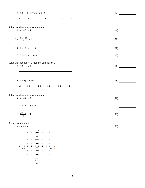13)  $-5x + 1 \ge 11$  or  $3x + 3 \ge -9$  13)

$$
\leftarrow\hspace{0.7cm}\cdot\hspace{0.7cm}\cdot\hspace{0.7cm}\cdot\hspace{0.7cm}\cdot\hspace{0.7cm}\cdot\hspace{0.7cm}\cdot\hspace{0.7cm}\cdot\hspace{0.7cm}\cdot\hspace{0.7cm}\cdot\hspace{0.7cm}\cdot\hspace{0.7cm}\cdot\hspace{0.7cm}\cdot\hspace{0.7cm}\cdot\hspace{0.7cm}\cdot\hspace{0.7cm}\cdot\hspace{0.7cm}\cdot\hspace{0.7cm}\cdot\hspace{0.7cm}\cdot\hspace{0.7cm}\cdot\hspace{0.7cm}\cdot\hspace{0.7cm}\cdot\hspace{0.7cm}\cdot\hspace{0.7cm}\cdot\hspace{0.7cm}\cdot\hspace{0.7cm}\cdot\hspace{0.7cm}\cdot\hspace{0.7cm}\cdot\hspace{0.7cm}\cdot\hspace{0.7cm}\cdot\hspace{0.7cm}\cdot\hspace{0.7cm}\cdot\hspace{0.7cm}\cdot\hspace{0.7cm}\cdot\hspace{0.7cm}\cdot\hspace{0.7cm}\cdot\hspace{0.7cm}\cdot\hspace{0.7cm}\cdot\hspace{0.7cm}\cdot\hspace{0.7cm}\cdot\hspace{0.7cm}\cdot\hspace{0.7cm}\cdot\hspace{0.7cm}\cdot\hspace{0.7cm}\cdot\hspace{0.7cm}\cdot\hspace{0.7cm}\cdot\hspace{0.7cm}\cdot\hspace{0.7cm}\cdot\hspace{0.7cm}\cdot\hspace{0.7cm}\cdot\hspace{0.7cm}\cdot\hspace{0.7cm}\cdot\hspace{0.7cm}\cdot\hspace{0.7cm}\cdot\hspace{0.7cm}\cdot\hspace{0.7cm}\cdot\hspace{0.7cm}\cdot\hspace{0.7cm}\cdot\hspace{0.7cm}\cdot\hspace{0.7cm}\cdot\hspace{0.7cm}\cdot\hspace{0.7cm}\cdot\hspace{0.7cm}\cdot\hspace{0.7cm}\cdot\hspace{0.7cm}\cdot\hspace{0.7cm}\cdot\hspace{0.7cm}\cdot\hspace{0.7cm}\cdot\hspace{0.7cm}\cdot\hspace{0.7cm}\cdot\hspace{0.7cm}\cdot\hspace{0.7cm}\cdot\hspace{0.7cm}\cdot\hspace{0.7cm}\cdot\hspace{0.7cm}\cdot\hspace{0.7cm}\cdot\hspace{0.7
$$

Solve the absolute value equation.  $14) | 6x + 7 | = 9$  14)

$$
15)\left|\frac{9x+36}{4}\right| = 9
$$

$$
16) |5x - 7| = |x - 4|
$$

$$
17) |7x + 2| = |-8 + 8x|
$$

Solve the inequality. Graph the solution set.  $18) | 8k + 1 | \le 4$  18)

| 19) $ x - 3  + 6 \ge 11$ |  |
|--------------------------|--|
|                          |  |

#### Solve the absolute value equation.

 $20)$   $|4x + 6| = 7$  20)

$$
21) |8x + 4| + 8 = 17
$$

$$
22)\left|\frac{7x-2}{3}\right| = 4
$$

Graph the equation.

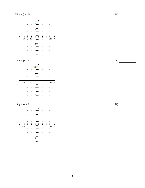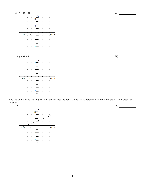

Find the domain and the range of the relation. Use the vertical line test to determine whether the graph is the graph of a function.

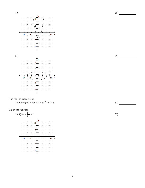

Find the indicated value.

32) Find  $f(-4)$  when  $f(x) = 3x^2 - 5x + 6$ .

Graph the function.



 $31)$ 

 $32)$ 

 $33)$ 

5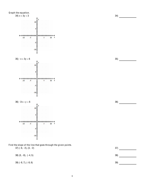

Find the slope of the line that goes through the given points.  $37)$   $(-6, -2), (3, -2)$ 

38)  $(5, -8)$ ,  $(-4, 5)$ 

39)  $(-8, 7)$ ,  $(-8, 6)$ 

**35)** 

36)

38) 39)

34)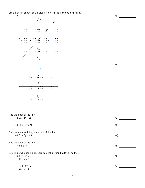Use the points shown on the graph to determine the slope of the line. 40)



42)  $3x + 5y = 28$ 42) 43)  $43) - 2y + 4x = 10$ Find the slope and the y-intercept of the line.  $44)$   $3x + 5y = -16$ 44) Find the slope of the line.  $\left( \frac{45}{2} \right)$ 45)  $x + 9 = 5$ Determine whether the lines are parallel, perpendicular, or neither. 46)  $54x - 9y = 5$ 46)  $6x - y = 7$  $47) - 3x - 6y = 2$  $\left( \frac{47}{2} \right)$  $2x - y = 6$ 

 $\left( \begin{array}{c} 41 \end{array} \right)$ 

 $40)$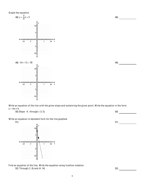

Write an equation of the line with the given slope and containing the given point. Write the equation in the form  $y = mx + b$ .

50) Slope -4; through (-2, 5) 50)



Write an equation in standard form for the line graphed.

Find an equation of the line. Write the equation using function notation. 52) Through (1, 8) and (4, 14) 52) 53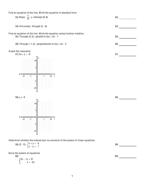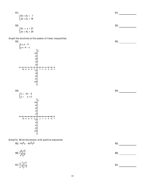$61)$ 

62)

63)

 $64)$ 





 $61)$  $\begin{cases} 5x + 2y = 1 \\ 2x + 2y = 16 \end{cases}$  $62)$  $\begin{cases} 4x + y = 27 \\ 2x + 4y = 24 \end{cases}$ 

Graph the solutions to the system of linear inequalities.





$$
66)\,\frac{x^9y^{12}}{x^4y^5}
$$

$$
67)\frac{x^{-7}y^{11}}{x^{-2}y^{-2}}
$$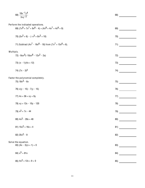|           | 68) $\frac{18x^{-1}y^{4}}{3xy^{-2}}$                                                                  | 68) |
|-----------|-------------------------------------------------------------------------------------------------------|-----|
|           | Perform the indicated operations.<br>69) $(7x^8 + 7x^7 + 9x^6 - 4) + (4x^8 + 4x^7 + 4x^6 + 9)$        | 69) |
|           | 70) $(5x^2 + 6) - (-x^3 + 8x^2 + 10)$                                                                 | 70) |
|           | 71) Subtract (4x <sup>7</sup> - 16x <sup>6</sup> - 18) from (7x <sup>7</sup> + 15x <sup>6</sup> + 6). | 71) |
| Multiply. | 72) -9ax <sup>5</sup> (-10ax <sup>6</sup> - 12x <sup>2</sup> - 2a)                                    | 72) |
|           | 73) $(x - 1)(4x + 12)$                                                                                | 73) |
|           | 74) $(7x - 3)^2$                                                                                      | 74) |
|           | Factor the polynomial completely.<br>75) $18x^3 - 6x$                                                 | 75) |
|           | 76) $x(y - 15) - 7(y - 15)$                                                                           | 76) |
|           | 77) $4x + 36 + xy + 9y$                                                                               | 77) |
|           | 78) xy + 12x - 10y - 120                                                                              | 78) |
|           | 79) $x^2$ + 7x - 44                                                                                   | 79) |
|           | 80) $4x^2 - 28x + 48$                                                                                 | 80) |
|           | 81) $15x^2 + 16x + 4$                                                                                 | 81) |
|           | 82) $25x^2 - 9$                                                                                       | 82) |
|           | Solve the equation.<br>83) $(4x - 3)(x + 1) = 0$                                                      | 83) |
|           | 84) $x^3 = 81x$                                                                                       | 84) |
|           | 85) $4x^2 + 12x + 9 = 0$                                                                              | 85) |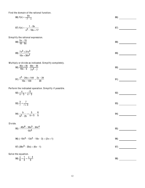Find the domain of the rational function.  $\mathbf{R}$ 

86) f(x) = 
$$
\frac{-9x}{(7-x)}
$$
  
\n87) f(x) =  $\frac{1-8x}{x^2-18x+17}$   
\nSimplify the rational expression.  
\n88)   
\n  
\n89)  $\frac{7x^2+21x^3}{10x+30x^2}$   
\n  
\nMultiply or divide as indicated. Simplify completely.  
\n90)  $\frac{35x+35}{10x+5}$   
\n $\frac{5x-5}{x^2-7}$   
\n91)  $\frac{x^2-24x+144}{10x-120} + \frac{2x-24}{20}$   
\n  
\nPerform the indicated operation. Simplify if possible.  
\n92)  $\frac{x}{x-3} + \frac{5}{x-3}$   
\n93)  $\frac{3}{t} + \frac{7}{t+3}$   
\n94)  $\frac{b}{b^2-25} + \frac{5}{b+5} - \frac{6}{b}$   
\nDivide.  
\n95)  $\frac{-40x^6-55x^5-64x^4}{-8x^5}$   
\n96) (-10x<sup>3</sup> - 13x<sup>2</sup> - 10x - 3) ÷ (2x + 1)  
\n97) (36x<sup>3</sup> - 25x) + (6x - 1)  
\n  
\n98)  $\frac{3}{b} + \frac{4}{3} = \frac{x-4}{3}$   
\n99)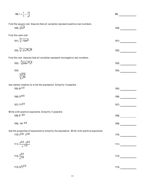99) 
$$
1 + \frac{1}{x} = \frac{12}{x^2}
$$
  
\n99) ...  
\nFind the square root. Assume that all variables represent positive real numbers.  
\n100)  $\sqrt{4x^6}$   
\n101)  $\sqrt[3]{-729x^6}$   
\n102)  $\sqrt[3]{-27x^{30}y^{36}}$   
\n103)  $-\sqrt[3]{-27x^{30}y^{36}}$   
\n104)  $\sqrt[3]{\frac{1216}{x^{24}}}$   
\n105)  $27\sqrt[4]{3}$   
\n106)  $27\sqrt[4]{3}$   
\n107)  $7x^{3/4}$   
\n108)  $27\sqrt[4]{3}$   
\n109)  $27\sqrt[4]{3}$   
\n101)  $27\sqrt[4]{3}$   
\n101)  $27\sqrt[4]{3}$   
\n102)  $27\sqrt[4]{3}$   
\n103)  $27\sqrt[4]{266x^{12}y^8}$   
\n104)  $2\sqrt[3]{\frac{216}{x^{24}}}$   
\n105)  $81^{1/2}$   
\n106)  $27\sqrt[4]{3}$   
\n107)  $7x^{3/4}$   
\n108)  $64^{-4/3}$   
\n109)  $-64^{-4/3}$   
\n109)  $-64^{-4/3}$   
\n109)  $64^{-4/3}$   
\n110)  $\frac{\sqrt[4]{3} \cdot x^{6/5}}{x \cdot 7^{7/2}}$   
\n111)  $\frac{\sqrt[4]{3} \cdot x^{6/5}}{x^{7/2}}$   
\n112)  $\frac{\sqrt[4]{3}}{\sqrt[4]{14}}$   
\n113)  $(b^3)^{2/3}$   
\n115)  $(b^3)^{2/3}$   
\n116)  $\frac{113}{25}$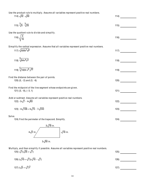Use the product rule to multiply. Assume all variables represent positive real numbers.

114)  $\sqrt{32} \cdot \sqrt{50}$ 

$$
115)\ \frac{3}{\sqrt{5}}\ \frac{3}{\sqrt{25}}\ \frac{115}{\sqrt{25}}
$$

 $114)$ 

 $\overline{117}$ 

 $120)$ 

 $121)$ 

 $122)$ 

 $123)$ 

 $124)$ 

 $125)$ 

 $126)$ 

 $127)$ 

Use the quotient rule to divide and simplify.

$$
116)\sqrt{\frac{3}{16}}\tag{116}
$$

Simplify the radical expression. Assume that all variables represent positive real numbers. 117)  $\sqrt{500k^7q^8}$ 

$$
118)\ \frac{3}{\sqrt{64x^4y^5}}
$$

$$
119) \frac{5}{\sqrt{1024 \times ^3 \frac{y^2}{2^2}}}
$$

Find the distance between the pair of points. 120)  $(5, -2)$  and  $(3, -6)$ 

Find the midpoint of the line segment whose endpoints are given. 121)  $(3, -8)$ ,  $(-3, 1)$ 

Add or subtract. Assume all variables represent positive real numbers. 122)  $-5\sqrt{7} - 4\sqrt{63}$ 

$$
123) - 4\sqrt{108} + 4\sqrt{75} - 7\sqrt{243}
$$

Solve.

124) Find the perimeter of the trapezoid. Simplify.



Multiply, and then simplify if possible. Assume all variables represent positive real numbers. 125)  $\sqrt{7}(\sqrt{35} + \sqrt{7})$ 

|--|

127)  $(\sqrt{5} + \sqrt{7})^2$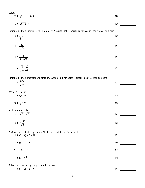Solve.

$$
128)\sqrt{9x-8}-8=0
$$

$$
129)\sqrt{x-2} = 5
$$

Rationalize the denominator and simplify. Assume that all variables represent positive real numbers.  $\overline{ }$ 

$$
130)\ \sqrt{\frac{1}{7}}\tag{130}
$$

$$
131)\frac{35}{\sqrt{7}x}
$$
 (131)

$$
132) \frac{3}{6 - \sqrt{10}}
$$

$$
133)\frac{\sqrt{6}-\sqrt{7}}{\sqrt{6}+\sqrt{7}}
$$

Rationalize the numerator and simplify. Assume all variables represent positive real numbers.

| 134) $\frac{3\sqrt{x}}{\sqrt{x}}$ | 134) |  |
|-----------------------------------|------|--|
| $\sqrt{5y}$                       |      |  |

Write in terms of i. 135)  $\sqrt{-144}$  $\begin{array}{c}\n\text{135)} \end{array}$ 

$$
136)\sqrt{-270}
$$

Multiply or divide. 137)  $\sqrt{-5}$   $\sqrt{-6}$  $137)$ 

$$
138)\frac{\sqrt{-40}}{\sqrt{-5}}
$$

 $139)$ 

Perform the indicated operation. Write the result in the form  $a + bi$ . 139)  $(3 - 6i) + (7 + 2i)$ 

 $140)$ 140)  $(6 - 4i) - (6 - i)$ 

141)  $4i(9 - 7i)$ 

$$
142) (8 + 9i)^2
$$

Solve the equation by completing the square.

$$
143) x2 - 2x - 3 = 0
$$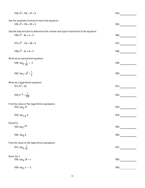| 144) $x^2$ + 16x + 47 = 0                                                                                      | 144)  |
|----------------------------------------------------------------------------------------------------------------|-------|
| Use the quadratic formula to solve the equation.<br>145) $x^2$ + 10x + 24 = 0                                  | 145)  |
|                                                                                                                |       |
| Use the discriminant to determine the number and type of solutions of the equation.<br>146) $x^2 - 6x + 5 = 0$ | 146)  |
| 147) $x^2 - 12x + 36 = 0$                                                                                      | 147)  |
| 148) $x^2 - 3x + 8 = 0$                                                                                        | (148) |
| Write as an exponential equation.                                                                              |       |
| 149) $\log_5 \frac{1}{25} = -2$                                                                                | 149)  |
| 150) $\log_7 \sqrt{7} = \frac{1}{2}$                                                                           | 150)  |
| Write as a logarithmic equation.                                                                               |       |
| 151) $5^2 = 25$                                                                                                | 151)  |
| 152) $5-3 = \frac{1}{125}$                                                                                     | 152)  |
| Find the value of the logarithmic expression.                                                                  |       |
| 153) log 3 27                                                                                                  | 153)  |
| 154) $log_{1/4}$ 4                                                                                             | 154)  |
| Simplify.                                                                                                      |       |
| 155) $log_7 713$                                                                                               | 155)  |
| 156) $log_{9}9$                                                                                                | 156)  |
| Find the value of the logarithmic expression.                                                                  |       |
| 157) $\log_{3} \frac{1}{27}$                                                                                   | 157)  |
| Solve for x.                                                                                                   |       |
| 158) $\log_5 25 = x$                                                                                           | 158)  |
| 159) $log_3 x = -2$                                                                                            | 159)  |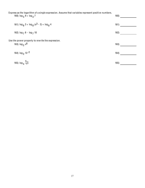| Express as the logarithm of a single expression. Assume that variables represent positive numbers.<br>160) $log_3 9 + log_3 7$ | 160) |
|--------------------------------------------------------------------------------------------------------------------------------|------|
| 161) $\log_8 2 + \log_8 (x^3 - 2) + \log_8 4$                                                                                  | 161) |
| 162) $\log_7 8 - \log_7 10$                                                                                                    | 162) |
| Use the power property to rewrite the expression.                                                                              |      |
| 163) $log_2 x^8$                                                                                                               | 163) |
| 164) $log_2 13^{-2}$                                                                                                           | 164) |
| 165) $\log_{4} \sqrt[5]{y}$                                                                                                    | 165) |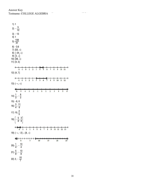Answer Key Testname: COLLEGE ALGEBRA (PHASE III) SUMMER MATH PACKET 2022

| 1)1<br>4)1 | 2) $-\frac{5}{12}$<br>$3) - 13$<br>5) $\frac{108}{31}$                                                           |               |               |                |                                                                       |             |               |                |                         |    |                         |         |               |
|------------|------------------------------------------------------------------------------------------------------------------|---------------|---------------|----------------|-----------------------------------------------------------------------|-------------|---------------|----------------|-------------------------|----|-------------------------|---------|---------------|
|            | $6) -3.6$<br>7) [53, $\infty$ )<br>8) $(-24, \infty)$<br>9) $[3, \infty)$<br>10) [38, $\infty$ )<br>11) $[4, 5]$ |               |               |                |                                                                       |             |               |                |                         |    |                         |         |               |
|            | $-2 - 1$<br>12) [4, 7]                                                                                           | $\mathbf 0$   | $\mathbf{1}$  |                | $\frac{1}{2}$ $\frac{1}{3}$ $\frac{1}{4}$ $\frac{1}{5}$ $\frac{1}{6}$ |             |               | 7              | $\overline{8}$          | 9  | 10                      | 11      | →             |
|            | $\leftarrow$ $\frac{1}{1}$<br>13) $(-\infty, \infty)$                                                            | $\frac{+}{1}$ | $\frac{+}{2}$ |                |                                                                       |             | $\frac{1}{7}$ | $\frac{+}{8}$  | 9                       | 10 | 11                      | +<br>12 | $\rightarrow$ |
|            | $-6$ $-5$ $-4$ $-3$                                                                                              |               |               | $\overline{2}$ | $\mathbf{1}$                                                          | $\mathbf 0$ | i             | $\overline{2}$ | $\overline{\mathbf{3}}$ | 4  | $\overline{\mathbf{5}}$ |         |               |
|            | 14) $\frac{1}{3}$ , $-\frac{8}{3}$                                                                               |               |               |                |                                                                       |             |               |                |                         |    |                         |         |               |
|            | $15) - 8, 0$<br>16) $\frac{3}{4}$ , $\frac{11}{6}$                                                               |               |               |                |                                                                       |             |               |                |                         |    |                         |         |               |
|            | 17) 10, $\frac{2}{5}$                                                                                            |               |               |                |                                                                       |             |               |                |                         |    |                         |         |               |
|            | $18)$ $\left[-\frac{5}{8}, \frac{3}{8}\right]$                                                                   |               |               |                |                                                                       |             |               |                |                         |    |                         |         |               |
|            | ←←<br>0 1 2 3 4 5 6 7 8 9 10 11 12<br>19) $(-\infty, -2] \cup [8, \infty)$                                       |               |               |                |                                                                       |             |               |                |                         |    |                         | 13      |               |
|            |                                                                                                                  |               | 5             |                |                                                                       | 10          | 15            |                |                         | 20 |                         |         |               |
|            | 20) $\frac{1}{4}$ , $-\frac{13}{4}$                                                                              |               |               |                |                                                                       |             |               |                |                         |    |                         |         |               |
|            | 21) $\frac{5}{8}$ , $-\frac{13}{8}$                                                                              |               |               |                |                                                                       |             |               |                |                         |    |                         |         |               |
|            | 22) 2, $-\frac{10}{7}$                                                                                           |               |               |                |                                                                       |             |               |                |                         |    |                         |         |               |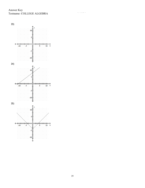Answer Key Testname: COLLEGE ALGEBRA

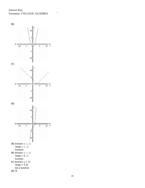Answer Key Testname: COLLEGE ALGEBRA

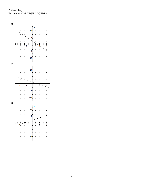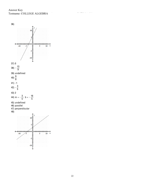Answer Key Testname: COLLEGE ALGEBRA

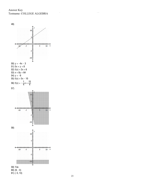Answer Key Testname: COLLEGE ALGEBRA



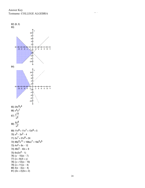Answer Key Testname: COLLEGE ALGEBRA

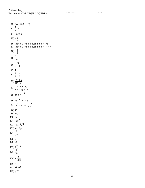82) (5x + 3)(5x - 3) 83)  $\frac{3}{4}$ , -1 84) -9, 0, 9 85) -  $\frac{3}{2}$ 86)  $\{x \mid x \text{ is a real number and } x \neq -7\}$ 87)  $\{x \mid x \text{ is a real number and } x \neq 17, x \neq 1\}$ <sup>88</sup>) - <sup>5</sup> 6 89)  $\frac{7x}{10}$ 90)  $\frac{25}{x - 1}$ 91) 1 <sup>92</sup>) <sup>x</sup> - <sup>5</sup> x - 3 93)  $\frac{10r+9}{r(r+3)}$ 94)  $\frac{-25(b-6)}{b(b+5)(b-5)}$ 95) 5x + 7 +  $\frac{8}{9}$ x 96) -5x2 - 4x - 3 97)  $6x^2 + x - 4 - \frac{4}{6x - 1}$ 98) 10 99) -4, 3 100)  $2x^3$ 101)  $-9x^2$ 102) -3x10y12 103)  $-4x<sup>3</sup>y<sup>2</sup>$ 104)  $\frac{6}{7}$ x8 105) 9 106) 81 107) 7  $\sqrt[4]{x^3}$ 108)  $\frac{1}{16}$ 109) -  $\frac{1}{256}$ 110) x 111) x91/30 112) y1/2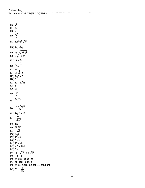113)  $b^2$  $114)40$  $115)5$ 116)  $\frac{\sqrt{3}}{4}$ 117)  $10k^3q^4\sqrt{5k}$ 118)  $4xy\sqrt[3]{xy^2}$ 119)  $4y^4 \sqrt[5]{x^3 y^2}$ <br>120)  $2\sqrt{5}$  units  $121)$  $\left[0, -\frac{7}{2}\right]$ 122) -  $17\sqrt{7}$ 123)  $-67\sqrt{3}$ 124)  $31\sqrt{2}$  in. 125)  $7\sqrt{5} + 7$  $126)3$ 127)  $12 + 2\sqrt{35}$  $128)8$ 129) 27 130)  $\frac{\sqrt{7}}{7}$ 131)  $\frac{5\sqrt{7x}}{x}$ 132)  $\frac{18+3\sqrt{10}}{26}$ 133)  $2\sqrt{42}$  - 13 134)  $\frac{3x}{\sqrt{5xy}}$ 135) 12i 136)  $3i\sqrt{30}$ 137)  $-\sqrt{30}$ 138)  $2\sqrt{2}$ 139) 10 - 4i  $140)0 - 3i$  $141)$  28 + 36i  $142) - 17 + 144i$  $143$ ) 3, -1  $144) - 8 - \sqrt{17} - 8 + \sqrt{17}$  $145 - 4 - 6$ 146) two real solutions 147) one real solution 148) two complex but not real solutions 149)  $5 - 2 = \frac{1}{25}$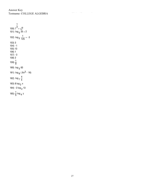150) 7 1  $2 = \sqrt{7}$ 151) log <sub>5</sub> 25 = 2 152)  $\log_5 \frac{1}{125} = -3$ 153) 3 154) -1 155) 13 156) 1 157) -3 158) 2 159)  $\frac{1}{9}$ 160) log <sub>3</sub> 63 161)  $\log_8 (8x^3 - 16)$ 162)  $log_7 \frac{4}{5}$ 5 <sup>163</sup>) <sup>8</sup> log <sup>2</sup> <sup>x</sup> 164) -2 log <sub>2</sub> 13 165)  $\frac{1}{5}$  log <sub>4</sub> y